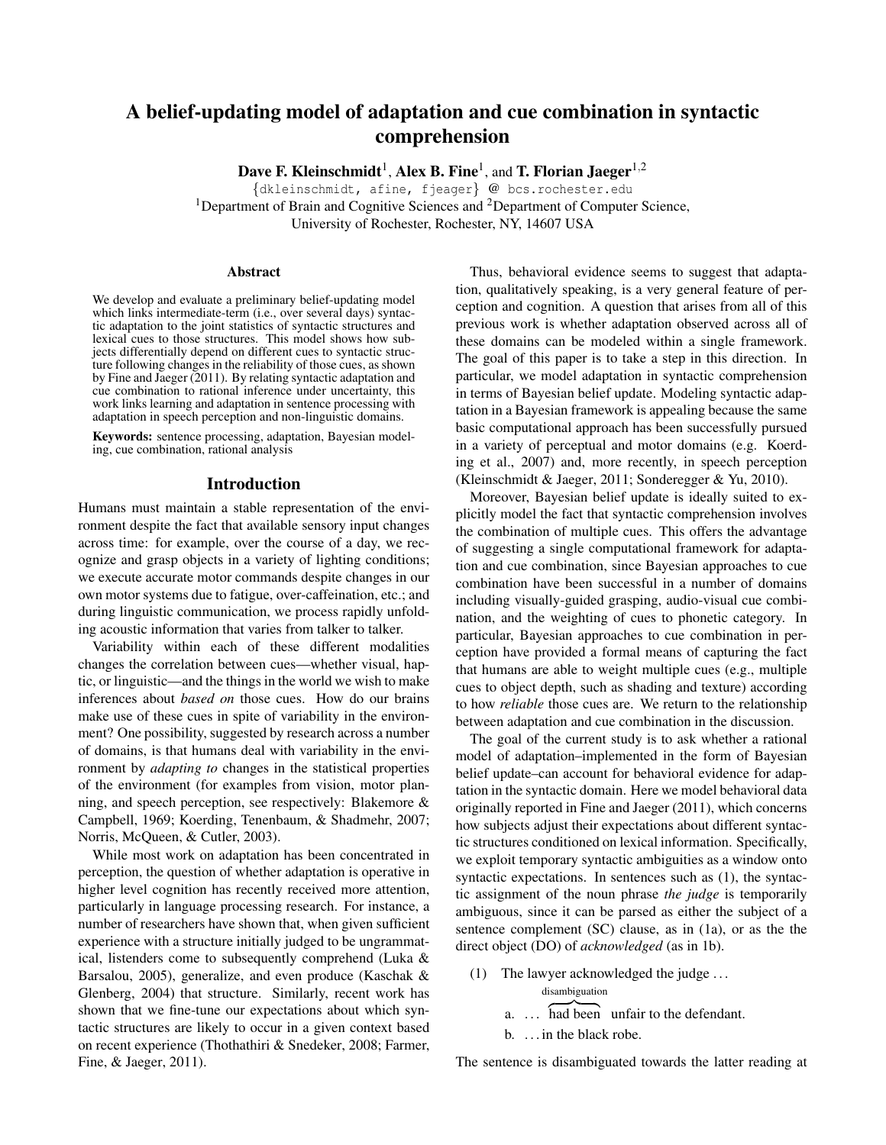# A belief-updating model of adaptation and cue combination in syntactic comprehension

Dave F. Kleinschmidt<sup>1</sup>, Alex B. Fine<sup>1</sup>, and T. Florian Jaeger<sup>1,2</sup>

{dkleinschmidt, afine, fjeager} @ bcs.rochester.edu <sup>1</sup>Department of Brain and Cognitive Sciences and  ${}^{2}$ Department of Computer Science, University of Rochester, Rochester, NY, 14607 USA

#### Abstract

We develop and evaluate a preliminary belief-updating model which links intermediate-term (i.e., over several days) syntactic adaptation to the joint statistics of syntactic structures and lexical cues to those structures. This model shows how subjects differentially depend on different cues to syntactic structure following changes in the reliability of those cues, as shown by Fine and Jaeger (2011). By relating syntactic adaptation and cue combination to rational inference under uncertainty, this work links learning and adaptation in sentence processing with adaptation in speech perception and non-linguistic domains.

Keywords: sentence processing, adaptation, Bayesian modeling, cue combination, rational analysis

# Introduction

Humans must maintain a stable representation of the environment despite the fact that available sensory input changes across time: for example, over the course of a day, we recognize and grasp objects in a variety of lighting conditions; we execute accurate motor commands despite changes in our own motor systems due to fatigue, over-caffeination, etc.; and during linguistic communication, we process rapidly unfolding acoustic information that varies from talker to talker.

Variability within each of these different modalities changes the correlation between cues—whether visual, haptic, or linguistic—and the things in the world we wish to make inferences about *based on* those cues. How do our brains make use of these cues in spite of variability in the environment? One possibility, suggested by research across a number of domains, is that humans deal with variability in the environment by *adapting to* changes in the statistical properties of the environment (for examples from vision, motor planning, and speech perception, see respectively: Blakemore & Campbell, 1969; Koerding, Tenenbaum, & Shadmehr, 2007; Norris, McQueen, & Cutler, 2003).

While most work on adaptation has been concentrated in perception, the question of whether adaptation is operative in higher level cognition has recently received more attention, particularly in language processing research. For instance, a number of researchers have shown that, when given sufficient experience with a structure initially judged to be ungrammatical, listenders come to subsequently comprehend (Luka & Barsalou, 2005), generalize, and even produce (Kaschak & Glenberg, 2004) that structure. Similarly, recent work has shown that we fine-tune our expectations about which syntactic structures are likely to occur in a given context based on recent experience (Thothathiri & Snedeker, 2008; Farmer, Fine, & Jaeger, 2011).

Thus, behavioral evidence seems to suggest that adaptation, qualitatively speaking, is a very general feature of perception and cognition. A question that arises from all of this previous work is whether adaptation observed across all of these domains can be modeled within a single framework. The goal of this paper is to take a step in this direction. In particular, we model adaptation in syntactic comprehension in terms of Bayesian belief update. Modeling syntactic adaptation in a Bayesian framework is appealing because the same basic computational approach has been successfully pursued in a variety of perceptual and motor domains (e.g. Koerding et al., 2007) and, more recently, in speech perception (Kleinschmidt & Jaeger, 2011; Sonderegger & Yu, 2010).

Moreover, Bayesian belief update is ideally suited to explicitly model the fact that syntactic comprehension involves the combination of multiple cues. This offers the advantage of suggesting a single computational framework for adaptation and cue combination, since Bayesian approaches to cue combination have been successful in a number of domains including visually-guided grasping, audio-visual cue combination, and the weighting of cues to phonetic category. In particular, Bayesian approaches to cue combination in perception have provided a formal means of capturing the fact that humans are able to weight multiple cues (e.g., multiple cues to object depth, such as shading and texture) according to how *reliable* those cues are. We return to the relationship between adaptation and cue combination in the discussion.

The goal of the current study is to ask whether a rational model of adaptation–implemented in the form of Bayesian belief update–can account for behavioral evidence for adaptation in the syntactic domain. Here we model behavioral data originally reported in Fine and Jaeger (2011), which concerns how subjects adjust their expectations about different syntactic structures conditioned on lexical information. Specifically, we exploit temporary syntactic ambiguities as a window onto syntactic expectations. In sentences such as (1), the syntactic assignment of the noun phrase *the judge* is temporarily ambiguous, since it can be parsed as either the subject of a sentence complement (SC) clause, as in (1a), or as the the direct object (DO) of *acknowledged* (as in 1b).

- (1) The lawyer acknowledged the judge . . . disambiguation
	- $a.$  ... had been unfair to the defendant.
	- b. . . . in the black robe.

The sentence is disambiguated towards the latter reading at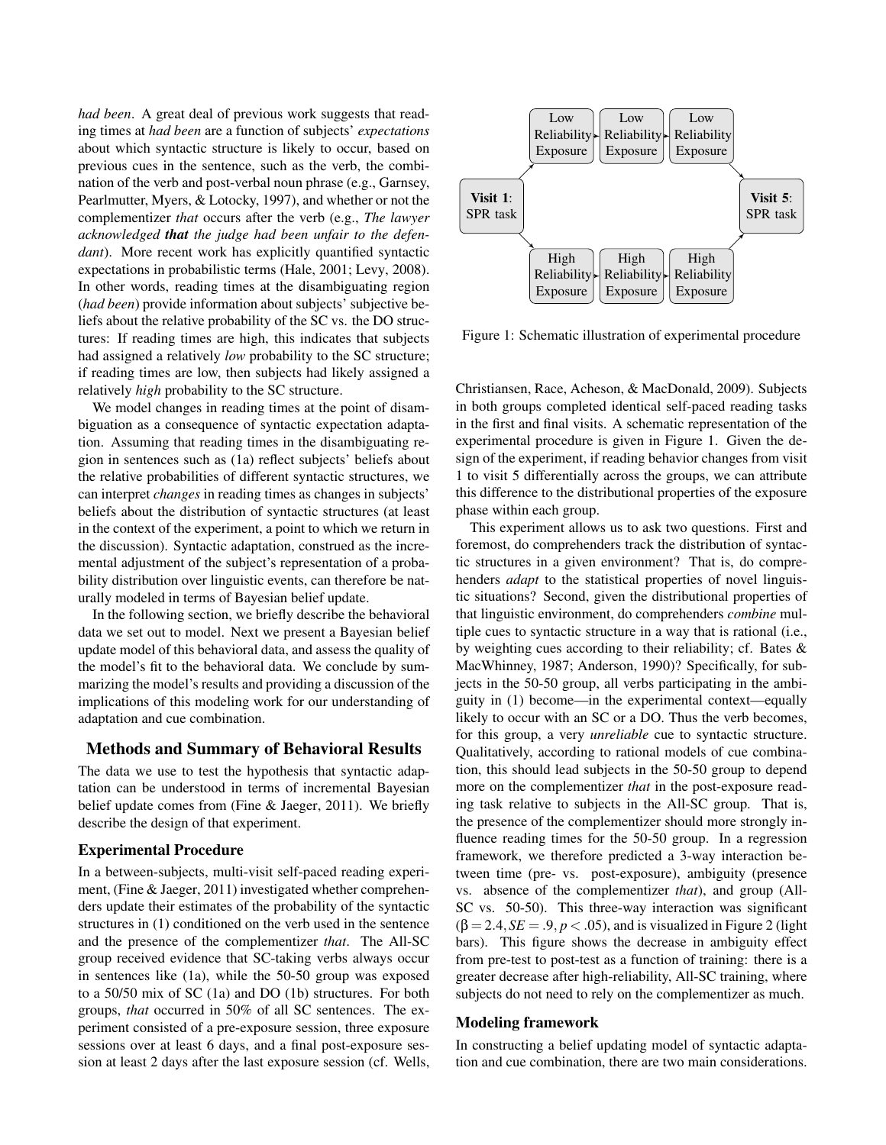*had been*. A great deal of previous work suggests that reading times at *had been* are a function of subjects' *expectations* about which syntactic structure is likely to occur, based on previous cues in the sentence, such as the verb, the combination of the verb and post-verbal noun phrase (e.g., Garnsey, Pearlmutter, Myers, & Lotocky, 1997), and whether or not the complementizer *that* occurs after the verb (e.g., *The lawyer acknowledged that the judge had been unfair to the defendant*). More recent work has explicitly quantified syntactic expectations in probabilistic terms (Hale, 2001; Levy, 2008). In other words, reading times at the disambiguating region (*had been*) provide information about subjects' subjective beliefs about the relative probability of the SC vs. the DO structures: If reading times are high, this indicates that subjects had assigned a relatively *low* probability to the SC structure; if reading times are low, then subjects had likely assigned a relatively *high* probability to the SC structure.

We model changes in reading times at the point of disambiguation as a consequence of syntactic expectation adaptation. Assuming that reading times in the disambiguating region in sentences such as (1a) reflect subjects' beliefs about the relative probabilities of different syntactic structures, we can interpret *changes* in reading times as changes in subjects' beliefs about the distribution of syntactic structures (at least in the context of the experiment, a point to which we return in the discussion). Syntactic adaptation, construed as the incremental adjustment of the subject's representation of a probability distribution over linguistic events, can therefore be naturally modeled in terms of Bayesian belief update.

In the following section, we briefly describe the behavioral data we set out to model. Next we present a Bayesian belief update model of this behavioral data, and assess the quality of the model's fit to the behavioral data. We conclude by summarizing the model's results and providing a discussion of the implications of this modeling work for our understanding of adaptation and cue combination.

# Methods and Summary of Behavioral Results

The data we use to test the hypothesis that syntactic adaptation can be understood in terms of incremental Bayesian belief update comes from (Fine & Jaeger, 2011). We briefly describe the design of that experiment.

### Experimental Procedure

In a between-subjects, multi-visit self-paced reading experiment, (Fine & Jaeger, 2011) investigated whether comprehenders update their estimates of the probability of the syntactic structures in (1) conditioned on the verb used in the sentence and the presence of the complementizer *that*. The All-SC group received evidence that SC-taking verbs always occur in sentences like (1a), while the 50-50 group was exposed to a 50/50 mix of SC (1a) and DO (1b) structures. For both groups, *that* occurred in 50% of all SC sentences. The experiment consisted of a pre-exposure session, three exposure sessions over at least 6 days, and a final post-exposure session at least 2 days after the last exposure session (cf. Wells,



Figure  $1:$  Schematic illustration of experimental procedure Figure 1: Schematic illustration of experimental procedure

Christiansen, Race, Acheson, & MacDonald, 2009). Subjects in both groups completed identical self-paced reading tasks in the first and final visits. A schematic representation of the experimental procedure is given in Figure 1. Given the de- $\frac{1}{2}$  sign of the experiment, if reading behavior changes from visit the used in the experiment, it reading centuries entailing 36 term in the 31 to visit 5 differentially across the groups, we can attribute get sentences containing derives the groups, we can allow this difference to the distributional properties of the exposure  $T_{\rm tot}$  which can group. phase within each group.

This experiment allows us to ask two questions. First and foremost, do comprehenders track the distribution of syntactic structures in a given environment? That is, do comprehenders *adapt* to the statistical properties of novel linguistic situations? Second, given the distributional properties of that linguistic environment, do comprehenders *combine* multiple cues to syntactic structure in a way that is rational (i.e., by weighting cues according to their reliability; cf. Bates & MacWhinney, 1987; Anderson, 1990)? Specifically, for subjects in the 50-50 group, all verbs participating in the ambiguity in (1) become—in the experimental context—equally  $\frac{1}{2}$ a. The money consider that the money of a BS. That the very executed, Qualitatively, according to rational models of cue combination, this should lead subjects in the 50-50 group to depend more on the complementizer *that* in the post-exposure reading task relative to subjects in the All-SC group. That is, the presence of the complementizer should more strongly influence reading times for the 50-50 group. In a regression framework, we therefore predicted a 3-way interaction between time (pre- vs. post-exposure), ambiguity (presence vs. absence of the complementizer *that*), and group (All-SC vs. 50-50). This three-way interaction was significant  $\beta = 2.4, SE = .9, p < .05$ , and is visualized in Figure 2 (light  $bars$ ). This figure shows the decrease in ambiguity effect likely to occur with an SC or a DO. Thus the verb becomes, from pre-test to post-test as a function of training: there is a greater decrease after high-reliability, All-SC training, where subjects do not need to rely on the complementizer as much.

#### Modeling framework

In constructing a belief updating model of syntactic adaptation and cue combination, there are two main considerations.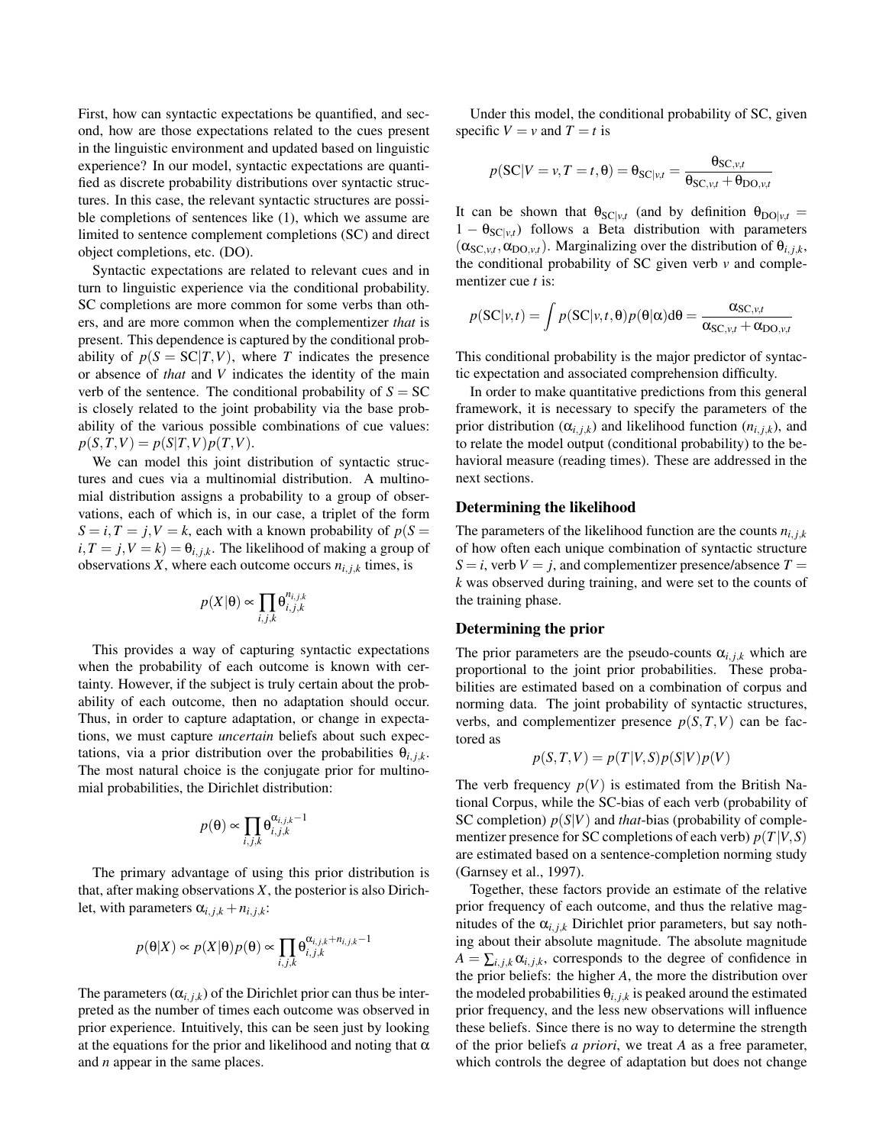First, how can syntactic expectations be quantified, and second, how are those expectations related to the cues present in the linguistic environment and updated based on linguistic experience? In our model, syntactic expectations are quantified as discrete probability distributions over syntactic structures. In this case, the relevant syntactic structures are possible completions of sentences like (1), which we assume are limited to sentence complement completions (SC) and direct object completions, etc. (DO).

Syntactic expectations are related to relevant cues and in turn to linguistic experience via the conditional probability. SC completions are more common for some verbs than others, and are more common when the complementizer *that* is present. This dependence is captured by the conditional probability of  $p(S = SC|T, V)$ , where *T* indicates the presence or absence of *that* and *V* indicates the identity of the main verb of the sentence. The conditional probability of  $S = SC$ is closely related to the joint probability via the base probability of the various possible combinations of cue values:  $p(S,T,V) = p(S|T,V)p(T,V).$ 

We can model this joint distribution of syntactic structures and cues via a multinomial distribution. A multinomial distribution assigns a probability to a group of observations, each of which is, in our case, a triplet of the form  $S = i, T = j, V = k$ , each with a known probability of  $p(S =$  $i, T = j, V = k$ ) =  $\theta_{i, j, k}$ . The likelihood of making a group of observations *X*, where each outcome occurs  $n_{i,j,k}$  times, is

$$
p(X|\theta) \propto \prod_{i,j,k} \theta_{i,j,k}^{n_{i,j,k}}
$$

This provides a way of capturing syntactic expectations when the probability of each outcome is known with certainty. However, if the subject is truly certain about the probability of each outcome, then no adaptation should occur. Thus, in order to capture adaptation, or change in expectations, we must capture *uncertain* beliefs about such expectations, via a prior distribution over the probabilities  $\theta_{i,j,k}$ . The most natural choice is the conjugate prior for multinomial probabilities, the Dirichlet distribution:

$$
p(\theta) \propto \prod_{i,j,k} \theta_{i,j,k}^{\alpha_{i,j,k}-1}
$$

The primary advantage of using this prior distribution is that, after making observations *X*, the posterior is also Dirichlet, with parameters  $\alpha_{i,j,k} + n_{i,j,k}$ :

$$
p(\boldsymbol{\theta}|X) \propto p(X|\boldsymbol{\theta})p(\boldsymbol{\theta}) \propto \prod_{i,j,k} \theta_{i,j,k}^{\alpha_{i,j,k} + n_{i,j,k} - 1}
$$

The parameters  $(\alpha_{i,j,k})$  of the Dirichlet prior can thus be interpreted as the number of times each outcome was observed in prior experience. Intuitively, this can be seen just by looking at the equations for the prior and likelihood and noting that  $\alpha$ and *n* appear in the same places.

Under this model, the conditional probability of SC, given specific  $V = v$  and  $T = t$  is

$$
p(\text{SC}|V=v, T=t, \theta) = \theta_{\text{SC}|v,t} = \frac{\theta_{\text{SC},v,t}}{\theta_{\text{SC},v,t} + \theta_{\text{DO},v,t}}
$$

It can be shown that  $\theta_{\text{SC}|v,t}$  (and by definition  $\theta_{\text{DO}|v,t} =$  $1 - \theta_{SC|v,t}$  follows a Beta distribution with parameters  $(\alpha_{SC, v,t}, \alpha_{DO, v,t})$ . Marginalizing over the distribution of  $\theta_{i,j,k}$ , the conditional probability of SC given verb  $\nu$  and complementizer cue *t* is:

$$
p(\mathbf{SC}|\mathbf{v},t) = \int p(\mathbf{SC}|\mathbf{v},t,\theta)p(\theta|\alpha)d\theta = \frac{\alpha_{\mathbf{SC},\mathbf{v},t}}{\alpha_{\mathbf{SC},\mathbf{v},t} + \alpha_{\mathbf{DO},\mathbf{v},t}}
$$

This conditional probability is the major predictor of syntactic expectation and associated comprehension difficulty.

In order to make quantitative predictions from this general framework, it is necessary to specify the parameters of the prior distribution ( $\alpha_{i,j,k}$ ) and likelihood function ( $n_{i,j,k}$ ), and to relate the model output (conditional probability) to the behavioral measure (reading times). These are addressed in the next sections.

# Determining the likelihood

The parameters of the likelihood function are the counts  $n_{i,j,k}$ of how often each unique combination of syntactic structure  $S = i$ , verb  $V = j$ , and complementizer presence/absence  $T =$ *k* was observed during training, and were set to the counts of the training phase.

## Determining the prior

The prior parameters are the pseudo-counts  $\alpha_{i,j,k}$  which are proportional to the joint prior probabilities. These probabilities are estimated based on a combination of corpus and norming data. The joint probability of syntactic structures, verbs, and complementizer presence  $p(S,T,V)$  can be factored as

$$
p(S,T,V) = p(T|V,S)p(S|V)p(V)
$$

The verb frequency  $p(V)$  is estimated from the British National Corpus, while the SC-bias of each verb (probability of SC completion)  $p(S|V)$  and *that*-bias (probability of complementizer presence for SC completions of each verb)  $p(T|V, S)$ are estimated based on a sentence-completion norming study (Garnsey et al., 1997).

Together, these factors provide an estimate of the relative prior frequency of each outcome, and thus the relative magnitudes of the  $\alpha_{i,j,k}$  Dirichlet prior parameters, but say nothing about their absolute magnitude. The absolute magnitude  $A = \sum_{i,j,k} \alpha_{i,j,k}$ , corresponds to the degree of confidence in the prior beliefs: the higher *A*, the more the distribution over the modeled probabilities  $\theta_{i,j,k}$  is peaked around the estimated prior frequency, and the less new observations will influence these beliefs. Since there is no way to determine the strength of the prior beliefs *a priori*, we treat *A* as a free parameter, which controls the degree of adaptation but does not change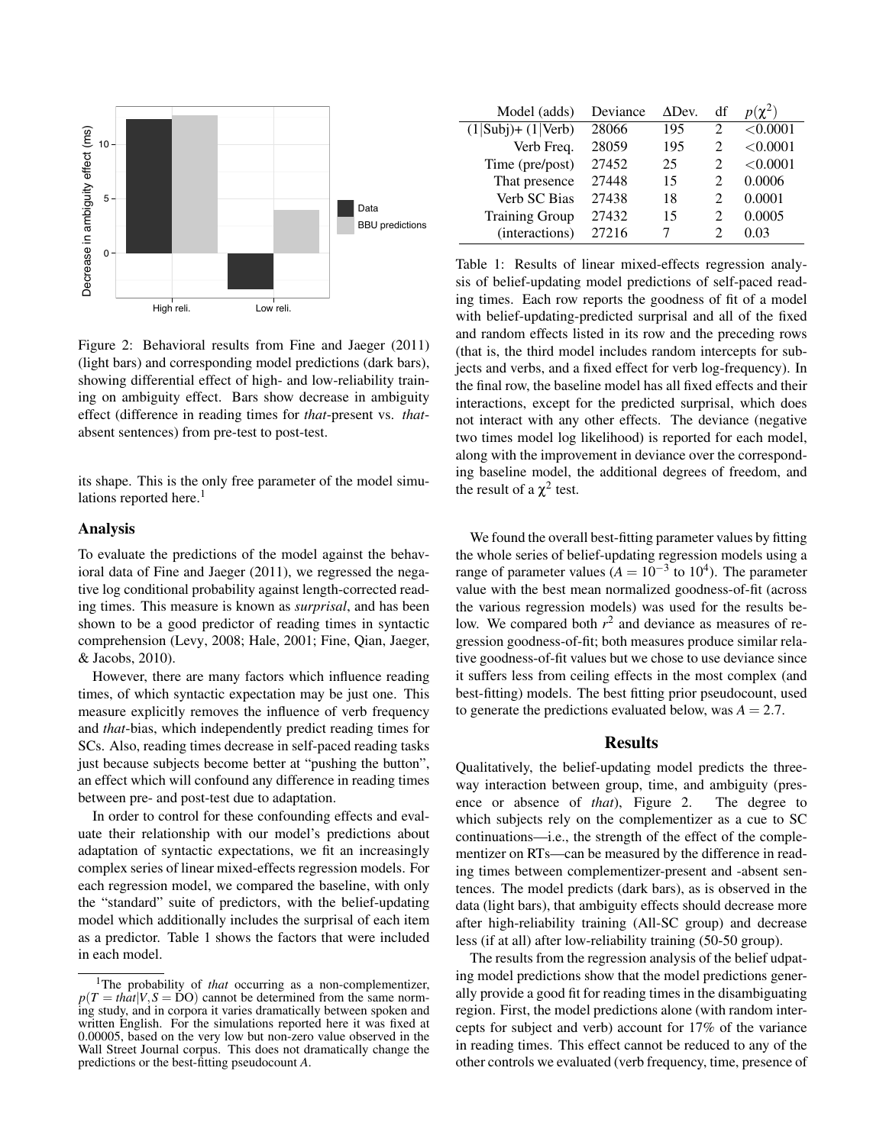

Figure 2: Behavioral results from Fine and Jaeger (2011) (light bars) and corresponding model predictions (dark bars), showing differential effect of high- and low-reliability training on ambiguity effect. Bars show decrease in ambiguity effect (difference in reading times for *that*-present vs. *that*absent sentences) from pre-test to post-test.

its shape. This is the only free parameter of the model simulations reported here.<sup>1</sup>

### Analysis

To evaluate the predictions of the model against the behavioral data of Fine and Jaeger (2011), we regressed the negative log conditional probability against length-corrected reading times. This measure is known as *surprisal*, and has been shown to be a good predictor of reading times in syntactic comprehension (Levy, 2008; Hale, 2001; Fine, Qian, Jaeger, & Jacobs, 2010).

However, there are many factors which influence reading times, of which syntactic expectation may be just one. This measure explicitly removes the influence of verb frequency and *that*-bias, which independently predict reading times for SCs. Also, reading times decrease in self-paced reading tasks just because subjects become better at "pushing the button", an effect which will confound any difference in reading times between pre- and post-test due to adaptation.

In order to control for these confounding effects and evaluate their relationship with our model's predictions about adaptation of syntactic expectations, we fit an increasingly complex series of linear mixed-effects regression models. For each regression model, we compared the baseline, with only the "standard" suite of predictors, with the belief-updating model which additionally includes the surprisal of each item as a predictor. Table 1 shows the factors that were included in each model.

| Model (adds)                   | Deviance | $\triangle$ Dev. | df | $p(\chi^2)$ |
|--------------------------------|----------|------------------|----|-------------|
| $(1 Subj)+(1 \overline{Verb})$ | 28066    | 195              |    | < 0.0001    |
| Verb Freq.                     | 28059    | 195              |    | < 0.0001    |
| Time (pre/post)                | 27452    | 25               |    | < 0.0001    |
| That presence                  | 27448    | 15               | 2  | 0.0006      |
| Verb SC Bias                   | 27438    | 18               | 2  | 0.0001      |
| <b>Training Group</b>          | 27432    | 15               | 2  | 0.0005      |
| (interactions)                 | 27216    |                  |    |             |

Table 1: Results of linear mixed-effects regression analysis of belief-updating model predictions of self-paced reading times. Each row reports the goodness of fit of a model with belief-updating-predicted surprisal and all of the fixed and random effects listed in its row and the preceding rows (that is, the third model includes random intercepts for subjects and verbs, and a fixed effect for verb log-frequency). In the final row, the baseline model has all fixed effects and their interactions, except for the predicted surprisal, which does not interact with any other effects. The deviance (negative two times model log likelihood) is reported for each model, along with the improvement in deviance over the corresponding baseline model, the additional degrees of freedom, and the result of a  $\chi^2$  test.

We found the overall best-fitting parameter values by fitting the whole series of belief-updating regression models using a range of parameter values  $(A = 10^{-3}$  to  $10^{4}$ ). The parameter value with the best mean normalized goodness-of-fit (across the various regression models) was used for the results below. We compared both  $r^2$  and deviance as measures of regression goodness-of-fit; both measures produce similar relative goodness-of-fit values but we chose to use deviance since it suffers less from ceiling effects in the most complex (and best-fitting) models. The best fitting prior pseudocount, used to generate the predictions evaluated below, was  $A = 2.7$ .

# Results

Qualitatively, the belief-updating model predicts the threeway interaction between group, time, and ambiguity (presence or absence of *that*), Figure 2. The degree to which subjects rely on the complementizer as a cue to SC continuations—i.e., the strength of the effect of the complementizer on RTs—can be measured by the difference in reading times between complementizer-present and -absent sentences. The model predicts (dark bars), as is observed in the data (light bars), that ambiguity effects should decrease more after high-reliability training (All-SC group) and decrease less (if at all) after low-reliability training (50-50 group).

The results from the regression analysis of the belief udpating model predictions show that the model predictions generally provide a good fit for reading times in the disambiguating region. First, the model predictions alone (with random intercepts for subject and verb) account for 17% of the variance in reading times. This effect cannot be reduced to any of the other controls we evaluated (verb frequency, time, presence of

<sup>&</sup>lt;sup>1</sup>The probability of *that* occurring as a non-complementizer,  $p(T = \frac{th\alpha t}{V}$ ,  $S = \overline{D}O$  cannot be determined from the same norming study, and in corpora it varies dramatically between spoken and written English. For the simulations reported here it was fixed at 0.00005, based on the very low but non-zero value observed in the Wall Street Journal corpus. This does not dramatically change the predictions or the best-fitting pseudocount *A*.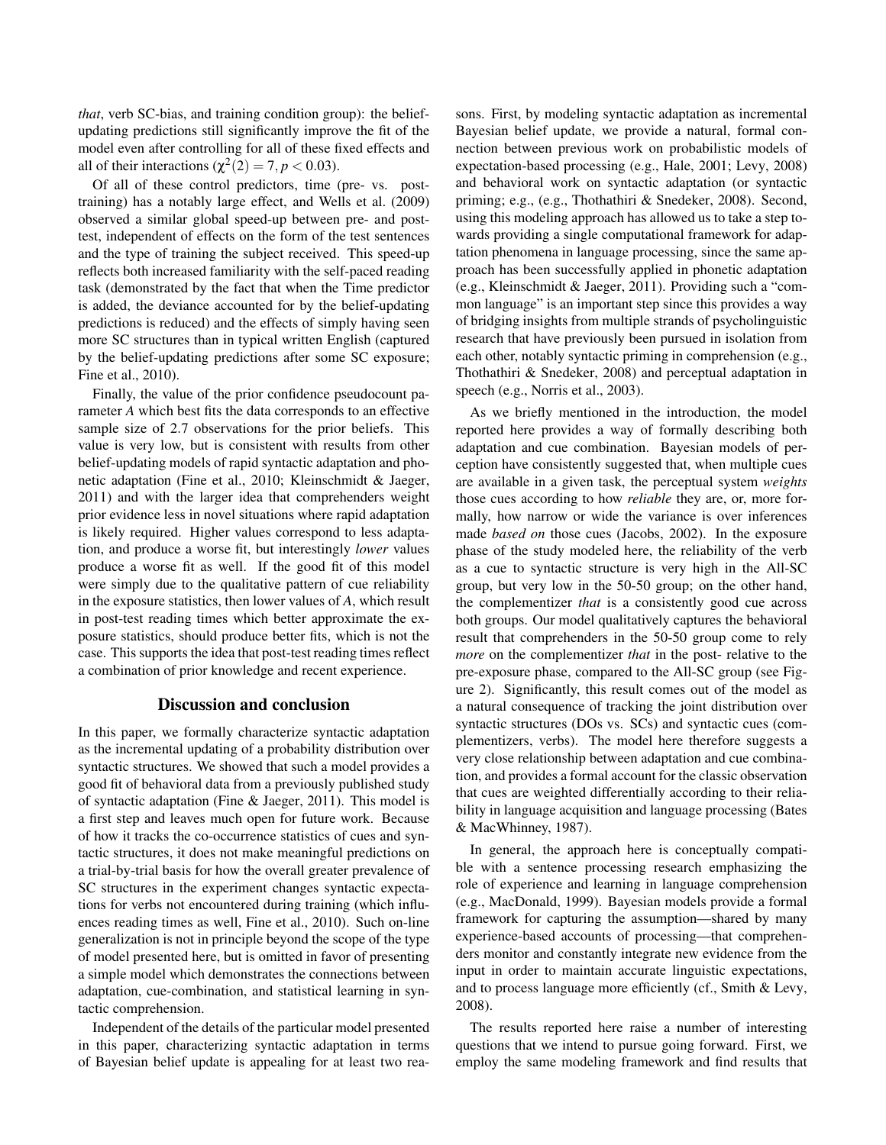*that*, verb SC-bias, and training condition group): the beliefupdating predictions still significantly improve the fit of the model even after controlling for all of these fixed effects and all of their interactions ( $\chi^2(2) = 7, p < 0.03$ ).

Of all of these control predictors, time (pre- vs. posttraining) has a notably large effect, and Wells et al. (2009) observed a similar global speed-up between pre- and posttest, independent of effects on the form of the test sentences and the type of training the subject received. This speed-up reflects both increased familiarity with the self-paced reading task (demonstrated by the fact that when the Time predictor is added, the deviance accounted for by the belief-updating predictions is reduced) and the effects of simply having seen more SC structures than in typical written English (captured by the belief-updating predictions after some SC exposure; Fine et al., 2010).

Finally, the value of the prior confidence pseudocount parameter *A* which best fits the data corresponds to an effective sample size of 2.7 observations for the prior beliefs. This value is very low, but is consistent with results from other belief-updating models of rapid syntactic adaptation and phonetic adaptation (Fine et al., 2010; Kleinschmidt & Jaeger, 2011) and with the larger idea that comprehenders weight prior evidence less in novel situations where rapid adaptation is likely required. Higher values correspond to less adaptation, and produce a worse fit, but interestingly *lower* values produce a worse fit as well. If the good fit of this model were simply due to the qualitative pattern of cue reliability in the exposure statistics, then lower values of *A*, which result in post-test reading times which better approximate the exposure statistics, should produce better fits, which is not the case. This supports the idea that post-test reading times reflect a combination of prior knowledge and recent experience.

### Discussion and conclusion

In this paper, we formally characterize syntactic adaptation as the incremental updating of a probability distribution over syntactic structures. We showed that such a model provides a good fit of behavioral data from a previously published study of syntactic adaptation (Fine & Jaeger, 2011). This model is a first step and leaves much open for future work. Because of how it tracks the co-occurrence statistics of cues and syntactic structures, it does not make meaningful predictions on a trial-by-trial basis for how the overall greater prevalence of SC structures in the experiment changes syntactic expectations for verbs not encountered during training (which influences reading times as well, Fine et al., 2010). Such on-line generalization is not in principle beyond the scope of the type of model presented here, but is omitted in favor of presenting a simple model which demonstrates the connections between adaptation, cue-combination, and statistical learning in syntactic comprehension.

Independent of the details of the particular model presented in this paper, characterizing syntactic adaptation in terms of Bayesian belief update is appealing for at least two reasons. First, by modeling syntactic adaptation as incremental Bayesian belief update, we provide a natural, formal connection between previous work on probabilistic models of expectation-based processing (e.g., Hale, 2001; Levy, 2008) and behavioral work on syntactic adaptation (or syntactic priming; e.g., (e.g., Thothathiri & Snedeker, 2008). Second, using this modeling approach has allowed us to take a step towards providing a single computational framework for adaptation phenomena in language processing, since the same approach has been successfully applied in phonetic adaptation (e.g., Kleinschmidt & Jaeger, 2011). Providing such a "common language" is an important step since this provides a way of bridging insights from multiple strands of psycholinguistic research that have previously been pursued in isolation from each other, notably syntactic priming in comprehension (e.g., Thothathiri & Snedeker, 2008) and perceptual adaptation in speech (e.g., Norris et al., 2003).

As we briefly mentioned in the introduction, the model reported here provides a way of formally describing both adaptation and cue combination. Bayesian models of perception have consistently suggested that, when multiple cues are available in a given task, the perceptual system *weights* those cues according to how *reliable* they are, or, more formally, how narrow or wide the variance is over inferences made *based on* those cues (Jacobs, 2002). In the exposure phase of the study modeled here, the reliability of the verb as a cue to syntactic structure is very high in the All-SC group, but very low in the 50-50 group; on the other hand, the complementizer *that* is a consistently good cue across both groups. Our model qualitatively captures the behavioral result that comprehenders in the 50-50 group come to rely *more* on the complementizer *that* in the post- relative to the pre-exposure phase, compared to the All-SC group (see Figure 2). Significantly, this result comes out of the model as a natural consequence of tracking the joint distribution over syntactic structures (DOs vs. SCs) and syntactic cues (complementizers, verbs). The model here therefore suggests a very close relationship between adaptation and cue combination, and provides a formal account for the classic observation that cues are weighted differentially according to their reliability in language acquisition and language processing (Bates & MacWhinney, 1987).

In general, the approach here is conceptually compatible with a sentence processing research emphasizing the role of experience and learning in language comprehension (e.g., MacDonald, 1999). Bayesian models provide a formal framework for capturing the assumption—shared by many experience-based accounts of processing—that comprehenders monitor and constantly integrate new evidence from the input in order to maintain accurate linguistic expectations, and to process language more efficiently (cf., Smith & Levy, 2008).

The results reported here raise a number of interesting questions that we intend to pursue going forward. First, we employ the same modeling framework and find results that